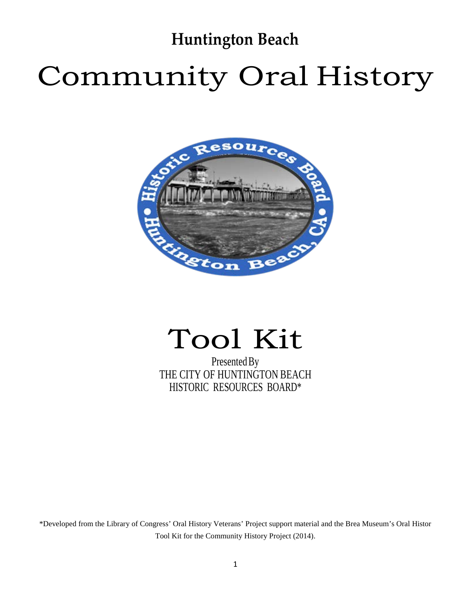# **Huntington Beach**

# Community Oral History



# Tool Kit

Presented By THE CITY OF HUNTINGTON BEACH HISTORIC RESOURCES BOARD\*

\*Developed from the Library of Congress' Oral History Veterans' Project support material and the Brea Museum's Oral Histor Tool Kit for the Community History Project (2014).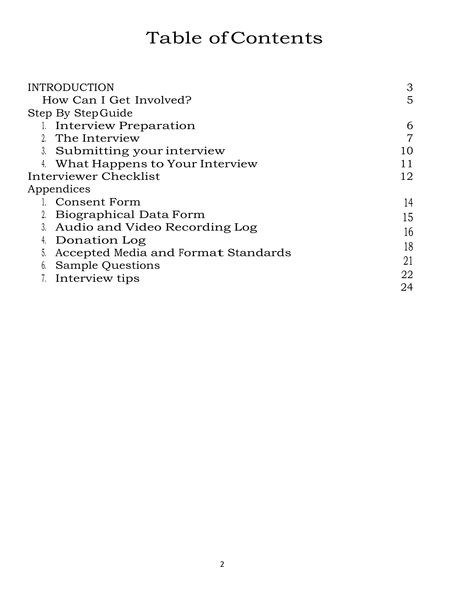# Table ofContents

| <b>INTRODUCTION</b>                 | 3  |
|-------------------------------------|----|
| How Can I Get Involved?             | 5  |
| Step By Step Guide                  |    |
| 1. Interview Preparation            | 6  |
| 2. The Interview                    | 7  |
| 3. Submitting your interview        | 10 |
| What Happens to Your Interview      |    |
| Interviewer Checklist               | 12 |
| Appendices                          |    |
| 1. Consent Form                     | 14 |
| Biographical Data Form              | 15 |
| 3. Audio and Video Recording Log    | 16 |
| 4. Donation Log                     | 18 |
| Accepted Media and Format Standards |    |
| <b>Sample Questions</b>             | 21 |
| Interview tips                      | 22 |
|                                     | 24 |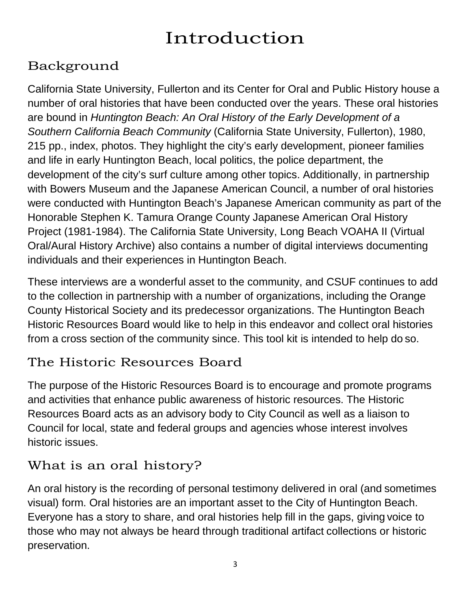# Introduction

# Background

California State University, Fullerton and its Center for Oral and Public History house a number of oral histories that have been conducted over the years. These oral histories are bound in *Huntington Beach: An Oral History of the Early Development of a Southern California Beach Community* (California State University, Fullerton), 1980, 215 pp., index, photos. They highlight the city's early development, pioneer families and life in early Huntington Beach, local politics, the police department, the development of the city's surf culture among other topics. Additionally, in partnership with Bowers Museum and the Japanese American Council, a number of oral histories were conducted with Huntington Beach's Japanese American community as part of the Honorable Stephen K. Tamura Orange County Japanese American Oral History Project (1981-1984). The California State University, Long Beach VOAHA II (Virtual Oral/Aural History Archive) also contains a number of digital interviews documenting individuals and their experiences in Huntington Beach.

These interviews are a wonderful asset to the community, and CSUF continues to add to the collection in partnership with a number of organizations, including the Orange County Historical Society and its predecessor organizations. The Huntington Beach Historic Resources Board would like to help in this endeavor and collect oral histories from a cross section of the community since. This tool kit is intended to help do so.

# The Historic Resources Board

The purpose of the Historic Resources Board is to encourage and promote programs and activities that enhance public awareness of historic resources. The Historic Resources Board acts as an advisory body to City Council as well as a liaison to Council for local, state and federal groups and agencies whose interest involves historic issues.

# What is an oral history?

An oral history is the recording of personal testimony delivered in oral (and sometimes visual) form. Oral histories are an important asset to the City of Huntington Beach. Everyone has a story to share, and oral histories help fill in the gaps, giving voice to those who may not always be heard through traditional artifact collections or historic preservation.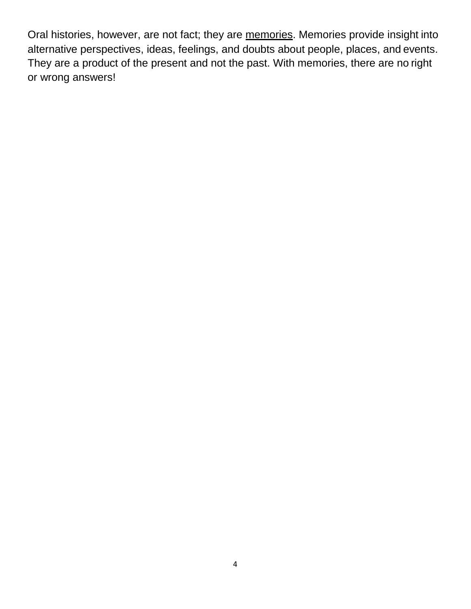Oral histories, however, are not fact; they are memories. Memories provide insight into alternative perspectives, ideas, feelings, and doubts about people, places, and events. They are a product of the present and not the past. With memories, there are no right or wrong answers!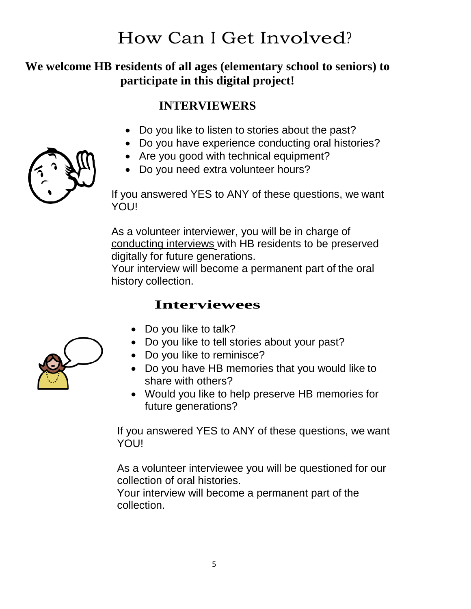# How Can <sup>I</sup> Get Involved?

## **We welcome HB residents of all ages (elementary school to seniors) to participate in this digital project!**

# **INTERVIEWERS**

- Do you like to listen to stories about the past?
- Do you have experience conducting oral histories?
- Are you good with technical equipment?
- Do you need extra volunteer hours?

If you answered YES to ANY of these questions, we wan[t](https://docs.google.com/forms/d/1g3AU1L9wMPEV3eercS355k_ZZ96ZVCquEA7TS5zxl0g/viewform) [YOU!](https://docs.google.com/forms/d/1g3AU1L9wMPEV3eercS355k_ZZ96ZVCquEA7TS5zxl0g/viewform)

As a volunteer interviewer, you will be in charge of [conducting interviews](https://docs.google.com/forms/d/1g3AU1L9wMPEV3eercS355k_ZZ96ZVCquEA7TS5zxl0g/viewform) with HB residents to be preserved digitally for future generations.

Your interview will become a permanent part of the oral history collection.

# **Interviewees**

- Do you like to talk?
- Do you like to tell stories about your past?
- Do you like to reminisce?
- Do you have HB memories that you would like to share with others?
- Would you like to help preserve HB memories for future generations?

If you answered YES to ANY of these questions, we wan[t](https://docs.google.com/forms/d/1g3AU1L9wMPEV3eercS355k_ZZ96ZVCquEA7TS5zxl0g/viewform) [YOU!](https://docs.google.com/forms/d/1g3AU1L9wMPEV3eercS355k_ZZ96ZVCquEA7TS5zxl0g/viewform)

As a [volunteer interviewee](https://docs.google.com/forms/d/1g3AU1L9wMPEV3eercS355k_ZZ96ZVCquEA7TS5zxl0g/viewform) you will be questioned for our collection of oral histories.

Your interview will become a permanent part of the collection.



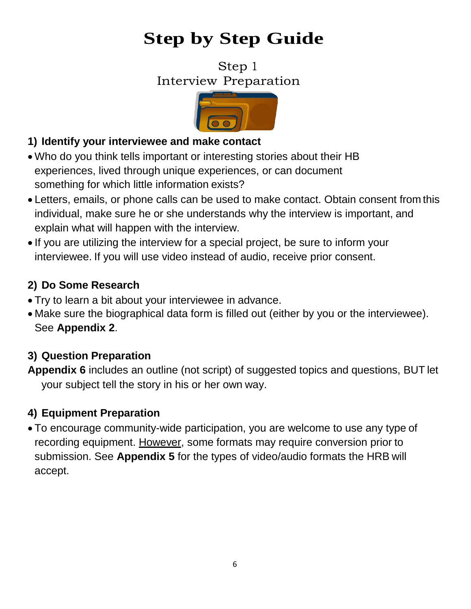# **Step by Step Guide**

Step 1 Interview Preparation



# **1) Identify your interviewee and make contact**

- Who do you think tells important or interesting stories about their HB experiences, lived through unique experiences, or can document something for which little information exists?
- Letters, emails, or phone calls can be used to make contact. Obtain consent from this individual, make sure he or she understands why the interview is important, and explain what will happen with the interview.
- If you are utilizing the interview for a special project, be sure to inform your interviewee. If you will use video instead of audio, receive prior consent.

# **2) Do Some Research**

- Try to learn a bit about your interviewee in advance.
- Make sure the biographical data form is filled out (either by you or the interviewee). See **Appendix 2**.

# **3) Question Preparation**

**Appendix 6** includes an outline (not script) of suggested topics and questions, BUT let your subject tell the story in his or her own way.

# **4) Equipment Preparation**

• To encourage community-wide participation, you are welcome to use any type of recording equipment. However, some formats may require conversion prior to submission. See **Appendix 5** for the types of video/audio formats the HRB will accept.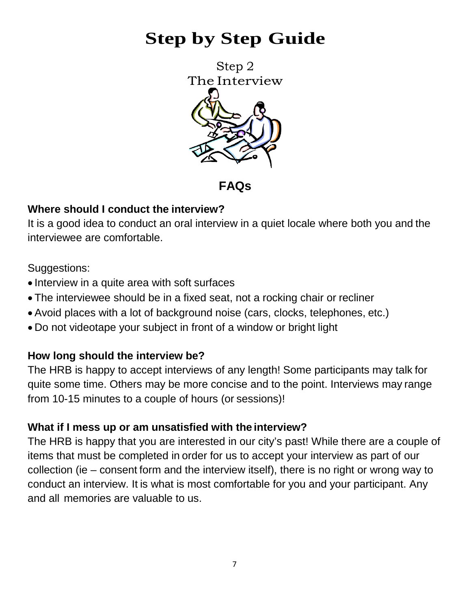# **Step by Step Guide**



**FAQs**

# **Where should I conduct the interview?**

It is a good idea to conduct an oral interview in a quiet locale where both you and the interviewee are comfortable.

### Suggestions:

- Interview in a quite area with soft surfaces
- The interviewee should be in a fixed seat, not a rocking chair or recliner
- Avoid places with a lot of background noise (cars, clocks, telephones, etc.)
- Do not videotape your subject in front of a window or bright light

### **How long should the interview be?**

The HRB is happy to accept interviews of any length! Some participants may talk for quite some time. Others may be more concise and to the point. Interviews may range from 10-15 minutes to a couple of hours (or sessions)!

### **What if I mess up or am unsatisfied with the interview?**

The HRB is happy that you are interested in our city's past! While there are a couple of items that must be completed in order for us to accept your interview as part of our collection (ie – consent form and the interview itself), there is no right or wrong way to conduct an interview. It is what is most comfortable for you and your participant. Any and all memories are valuable to us.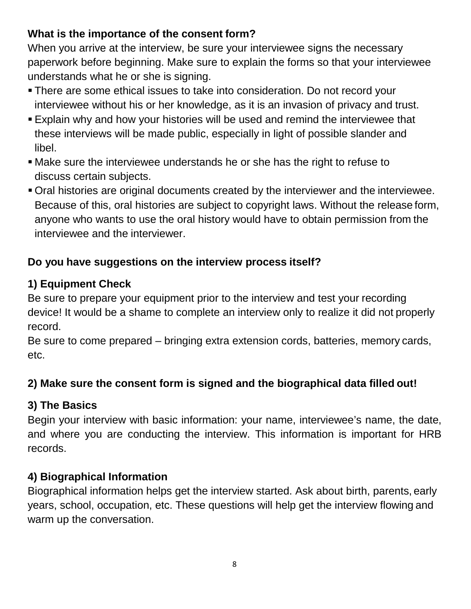## **What is the importance of the consent form?**

When you arrive at the interview, be sure your interviewee signs the necessary paperwork before beginning. Make sure to explain the forms so that your interviewee understands what he or she is signing.

- There are some ethical issues to take into consideration. Do not record your interviewee without his or her knowledge, as it is an invasion of privacy and trust.
- Explain why and how your histories will be used and remind the interviewee that these interviews will be made public, especially in light of possible slander and libel.
- Make sure the interviewee understands he or she has the right to refuse to discuss certain subjects.
- Oral histories are original documents created by the interviewer and the interviewee. Because of this, oral histories are subject to copyright laws. Without the release form, anyone who wants to use the oral history would have to obtain permission from the interviewee and the interviewer.

### **Do you have suggestions on the interview process itself?**

## **1) Equipment Check**

Be sure to prepare your equipment prior to the interview and test your recording device! It would be a shame to complete an interview only to realize it did not properly record.

Be sure to come prepared – bringing extra extension cords, batteries, memory cards, etc.

### **2) Make sure the consent form is signed and the biographical data filled out!**

### **3) The Basics**

Begin your interview with basic information: your name, interviewee's name, the date, and where you are conducting the interview. This information is important for HRB records.

### **4) Biographical Information**

Biographical information helps get the interview started. Ask about birth, parents, early years, school, occupation, etc. These questions will help get the interview flowing and warm up the conversation.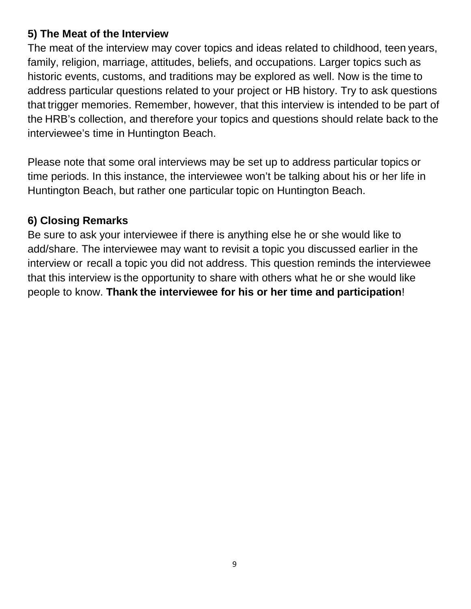### **5) The Meat of the Interview**

The meat of the interview may cover topics and ideas related to childhood, teen years, family, religion, marriage, attitudes, beliefs, and occupations. Larger topics such as historic events, customs, and traditions may be explored as well. Now is the time to address particular questions related to your project or HB history. Try to ask questions that trigger memories. Remember, however, that this interview is intended to be part of the HRB's collection, and therefore your topics and questions should relate back to the interviewee's time in Huntington Beach.

Please note that some oral interviews may be set up to address particular topics or time periods. In this instance, the interviewee won't be talking about his or her life in Huntington Beach, but rather one particular topic on Huntington Beach.

### **6) Closing Remarks**

Be sure to ask your interviewee if there is anything else he or she would like to add/share. The interviewee may want to revisit a topic you discussed earlier in the interview or recall a topic you did not address. This question reminds the interviewee that this interview is the opportunity to share with others what he or she would like people to know. **Thank the interviewee for his or her time and participation**!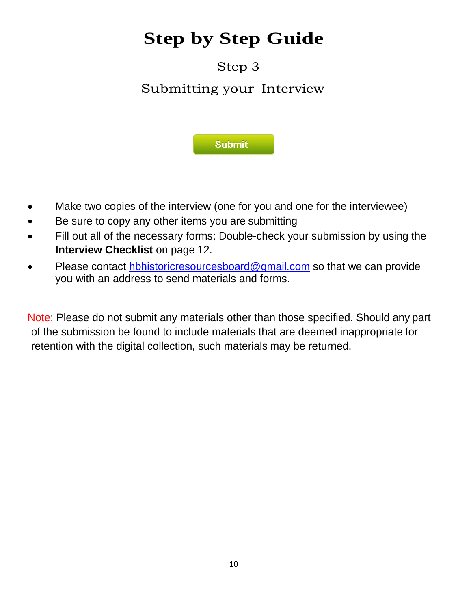# **Step by Step Guide**

# Step 3 Submitting your Interview



- Make two copies of the interview (one for you and one for the interviewee)
- Be sure to copy any other items you are submitting
- Fill out all of the necessary forms: Double-check your submission by using the **Interview Checklist on page 12.**
- Please contact [hbhistoricresourcesboard@gmail.com](mailto:hbhistoricresourcesboard@gmail.com) so that we can provide you with an address to send materials and forms.

Note: Please do not submit any materials other than those specified. Should any part of the submission be found to include materials that are deemed inappropriate for retention with the digital collection, such materials may be returned.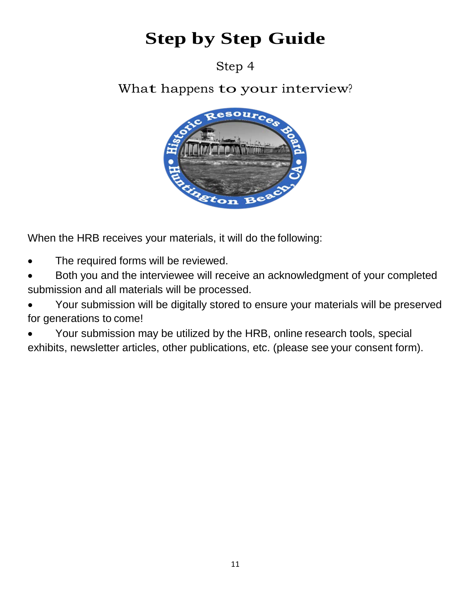# **Step by Step Guide**

# Step 4

# What happens to your interview?



When the HRB receives your materials, it will do the following:

- The required forms will be reviewed.
- Both you and the interviewee will receive an acknowledgment of your completed submission and all materials will be processed.
- Your submission will be digitally stored to ensure your materials will be preserved for generations to come!
- Your submission may be utilized by the HRB, online research tools, special exhibits, newsletter articles, other publications, etc. (please see your consent form).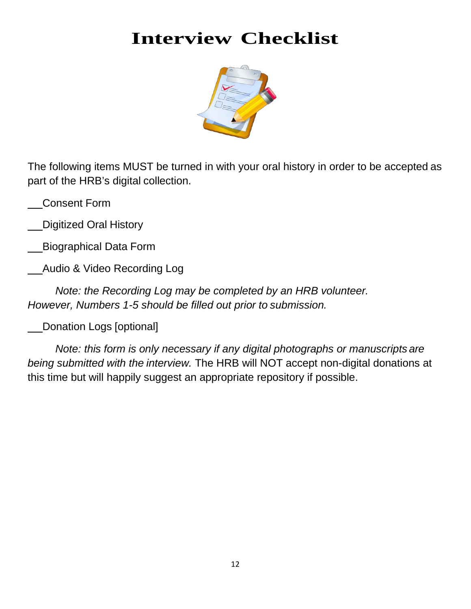# **Interview Checklist**



The following items MUST be turned in with your oral history in order to be accepted as part of the HRB's digital collection.

Consent Form

Digitized Oral History

Biographical Data Form

Audio & Video Recording Log

*Note: the Recording Log may be completed by an HRB volunteer. However, Numbers 1-5 should be filled out prior to submission.*

Donation Logs [optional]

*Note: this form is only necessary if any digital photographs or manuscripts are being submitted with the interview.* The HRB will NOT accept non-digital donations at this time but will happily suggest an appropriate repository if possible.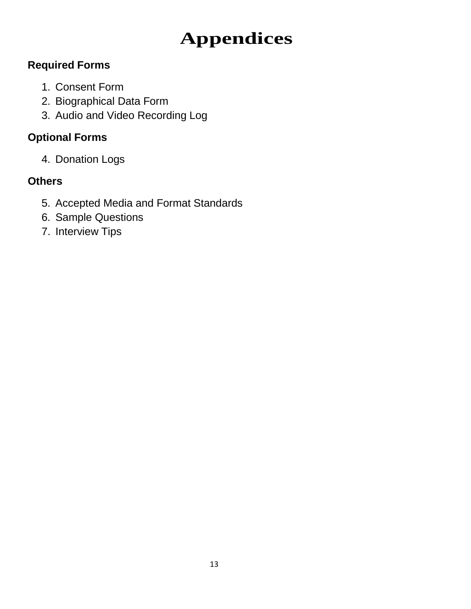# **Appendices**

# **Required Forms**

- 1. Consent Form
- 2. Biographical Data Form
- 3. Audio and Video Recording Log

# **Optional Forms**

4. Donation Logs

# **Others**

- 5. Accepted Media and Format Standards
- 6. Sample Questions
- 7. Interview Tips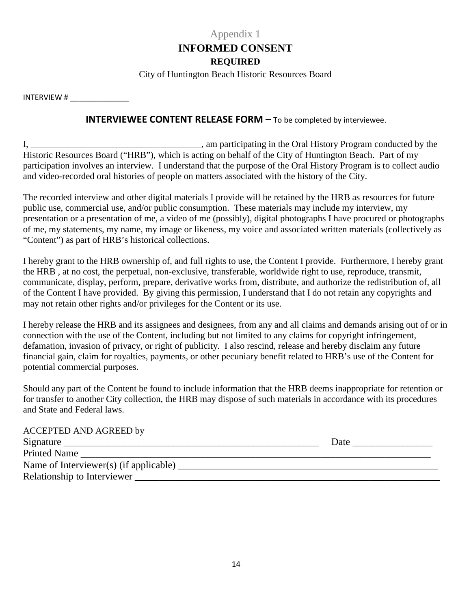#### Appendix 1 **INFORMED CONSENT REQUIRED**

City of Huntington Beach Historic Resources Board

<span id="page-13-0"></span>INTERVIEW # \_\_\_\_\_\_\_\_\_\_\_\_\_\_

#### **INTERVIEWEE CONTENT RELEASE FORM –** To be completed by interviewee.

I, \_\_\_\_\_\_\_\_\_\_\_\_\_\_\_\_\_\_\_\_\_\_\_\_\_\_\_\_\_\_\_\_\_\_\_\_\_, am participating in the Oral History Program conducted by the Historic Resources Board ("HRB"), which is acting on behalf of the City of Huntington Beach. Part of my participation involves an interview. I understand that the purpose of the Oral History Program is to collect audio and video-recorded oral histories of people on matters associated with the history of the City.

The recorded interview and other digital materials I provide will be retained by the HRB as resources for future public use, commercial use, and/or public consumption. These materials may include my interview, my presentation or a presentation of me, a video of me (possibly), digital photographs I have procured or photographs of me, my statements, my name, my image or likeness, my voice and associated written materials (collectively as "Content") as part of HRB's historical collections.

I hereby grant to the HRB ownership of, and full rights to use, the Content I provide. Furthermore, I hereby grant the HRB , at no cost, the perpetual, non-exclusive, transferable, worldwide right to use, reproduce, transmit, communicate, display, perform, prepare, derivative works from, distribute, and authorize the redistribution of, all of the Content I have provided. By giving this permission, I understand that I do not retain any copyrights and may not retain other rights and/or privileges for the Content or its use.

I hereby release the HRB and its assignees and designees, from any and all claims and demands arising out of or in connection with the use of the Content, including but not limited to any claims for copyright infringement, defamation, invasion of privacy, or right of publicity. I also rescind, release and hereby disclaim any future financial gain, claim for royalties, payments, or other pecuniary benefit related to HRB's use of the Content for potential commercial purposes.

Should any part of the Content be found to include information that the HRB deems inappropriate for retention or for transfer to another City collection, the HRB may dispose of such materials in accordance with its procedures and State and Federal laws.

| <b>ACCEPTED AND AGREED by</b>          |      |
|----------------------------------------|------|
|                                        | Date |
| <b>Printed Name</b>                    |      |
| Name of Interviewer(s) (if applicable) |      |
| Relationship to Interviewer            |      |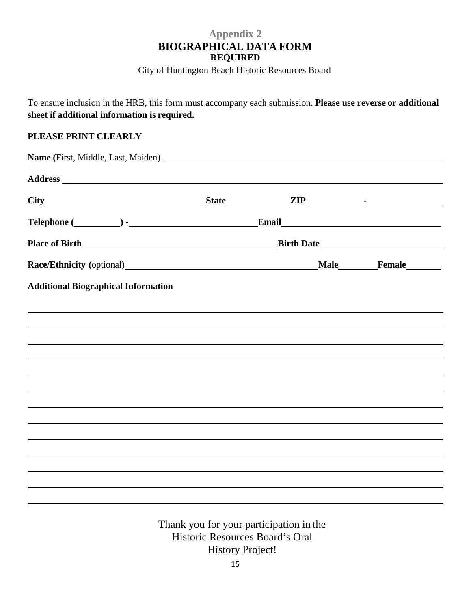#### **Appendix 2 BIOGRAPHICAL DATA FORM REQUIRED**

City of Huntington Beach Historic Resources Board

<span id="page-14-0"></span>To ensure inclusion in the HRB, this form must accompany each submission. **Please use reverse or additional sheet if additional information is required.**

#### **PLEASE PRINT CLEARLY**

|                                            | Place of Birth Late and Solution and Solution Birth Date Richards Birth Date Richards and Solution and Solution Birth Date Richards and Solution and Solution and Solution and Solution and Solution and Solution and Solution |                             |  |
|--------------------------------------------|--------------------------------------------------------------------------------------------------------------------------------------------------------------------------------------------------------------------------------|-----------------------------|--|
|                                            |                                                                                                                                                                                                                                | Male__________Female_______ |  |
| <b>Additional Biographical Information</b> |                                                                                                                                                                                                                                |                             |  |
|                                            |                                                                                                                                                                                                                                |                             |  |
|                                            |                                                                                                                                                                                                                                |                             |  |
|                                            |                                                                                                                                                                                                                                |                             |  |
|                                            |                                                                                                                                                                                                                                |                             |  |
|                                            |                                                                                                                                                                                                                                |                             |  |
|                                            |                                                                                                                                                                                                                                |                             |  |
|                                            |                                                                                                                                                                                                                                |                             |  |
|                                            |                                                                                                                                                                                                                                |                             |  |
|                                            |                                                                                                                                                                                                                                |                             |  |
|                                            |                                                                                                                                                                                                                                |                             |  |
|                                            |                                                                                                                                                                                                                                |                             |  |

Historic Resources Board's Oral

History Project!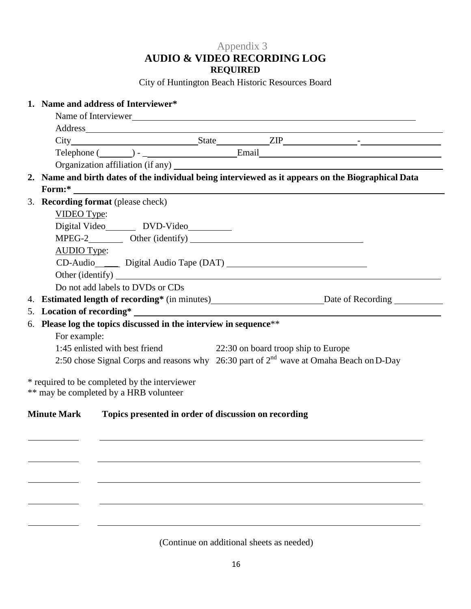#### Appendix 3 **AUDIO & VIDEO RECORDING LOG REQUIRED**

City of Huntington Beach Historic Resources Board

#### <span id="page-15-0"></span>**1. Name and address of Interviewer\*** Name of Interviewer Address City State ZIP - Telephone ( ) - The Email Organization affiliation (if any) **2. Name and birth dates of the individual being interviewed as it appears on the Biographical Data Form:\***

3. **Recording format** (please check)

VIDEO Type:

Digital Video DVD-Video

MPEG-2 Other (identify) AUDIO Type:

CD-Audio \_\_\_ Digital Audio Tape (DAT)

Other (identify)

Do not add labels to DVDs or CDs

- 4. **Estimated length of recording\*** (in minutes) Date of Recording
- 5. **Location of recording\***

### 6. **Please log the topics discussed in the interview in sequence**\*\*

For example:

1:45 enlisted with best friend 22:30 on board troop ship to Europe

2:50 chose Signal Corps and reasons why 26:30 part of  $2<sup>nd</sup>$  wave at Omaha Beach on D-Day

\* required to be completed by the interviewer

\*\* may be completed by a HRB volunteer

#### **Minute Mark Topics presented in order of discussion on recording**

(Continue on additional sheets as needed)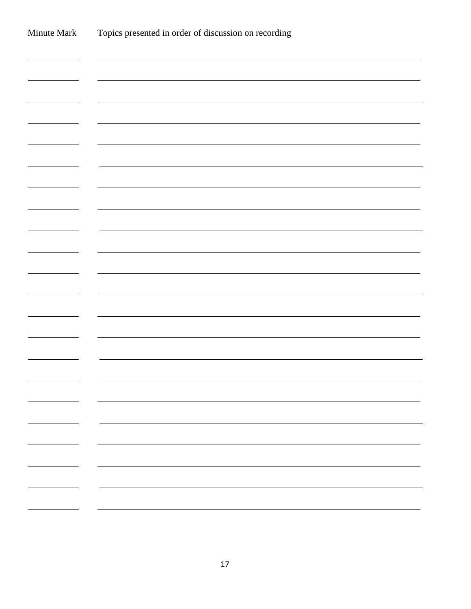| Minute Mark                                          | Topics presented in order of discussion on recording |  |  |
|------------------------------------------------------|------------------------------------------------------|--|--|
|                                                      |                                                      |  |  |
|                                                      |                                                      |  |  |
|                                                      |                                                      |  |  |
|                                                      |                                                      |  |  |
|                                                      |                                                      |  |  |
|                                                      |                                                      |  |  |
|                                                      |                                                      |  |  |
|                                                      |                                                      |  |  |
|                                                      |                                                      |  |  |
|                                                      |                                                      |  |  |
|                                                      |                                                      |  |  |
|                                                      |                                                      |  |  |
|                                                      |                                                      |  |  |
| $\overline{\phantom{a}}$                             |                                                      |  |  |
| $\overline{\phantom{a}}$<br>$\overline{\phantom{a}}$ | Ξ.                                                   |  |  |
| $\overline{\phantom{a}}$                             |                                                      |  |  |
|                                                      |                                                      |  |  |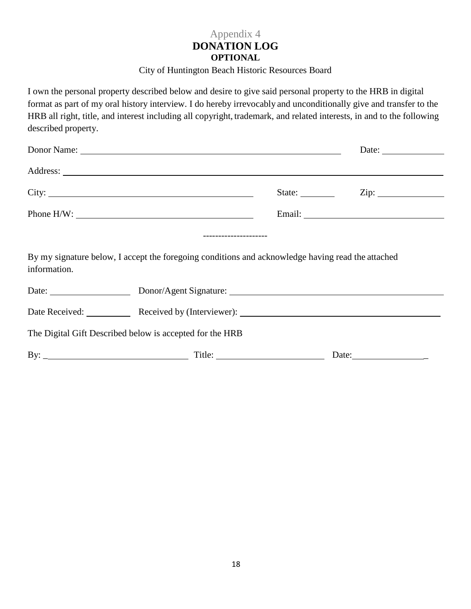#### Appendix 4 **DONATION LOG OPTIONAL**

City of Huntington Beach Historic Resources Board

<span id="page-17-0"></span>I own the personal property described below and desire to give said personal property to the HRB in digital format as part of my oral history interview. I do hereby irrevocably and unconditionally give and transfer to the HRB all right, title, and interest including all copyright, trademark, and related interests, in and to the following described property.

|              |                                                                                                   |  | Date: $\_\_$            |  |
|--------------|---------------------------------------------------------------------------------------------------|--|-------------------------|--|
|              |                                                                                                   |  |                         |  |
|              |                                                                                                   |  | State: <u>Zip:</u> Zip: |  |
|              |                                                                                                   |  |                         |  |
|              |                                                                                                   |  |                         |  |
| information. | By my signature below, I accept the foregoing conditions and acknowledge having read the attached |  |                         |  |
|              | Date: Donor/Agent Signature:                                                                      |  |                         |  |
|              | Date Received: Received by (Interviewer): 2008. [2013] Received by (Interviewer):                 |  |                         |  |
|              | The Digital Gift Described below is accepted for the HRB                                          |  |                         |  |
|              |                                                                                                   |  |                         |  |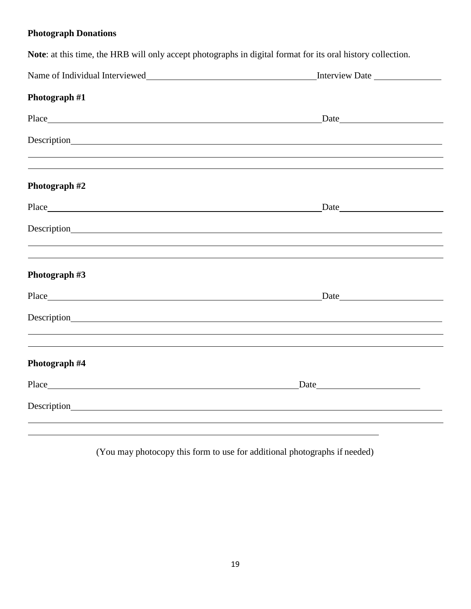#### **Photograph Donations**

|                                | Note: at this time, the HRB will only accept photographs in digital format for its oral history collection. |
|--------------------------------|-------------------------------------------------------------------------------------------------------------|
| Name of Individual Interviewed | Interview Date                                                                                              |

# **Photograph #1**

|               | Date                              |
|---------------|-----------------------------------|
|               |                                   |
|               |                                   |
|               |                                   |
| Photograph #2 |                                   |
|               | $\frac{\text{Date}}{\text{Date}}$ |
|               |                                   |
|               |                                   |
|               |                                   |
| Photograph #3 |                                   |
|               | Date                              |
|               |                                   |
|               |                                   |
| Photograph #4 |                                   |
|               | Date                              |
|               |                                   |
|               |                                   |

(You may photocopy this form to use for additional photographs if needed)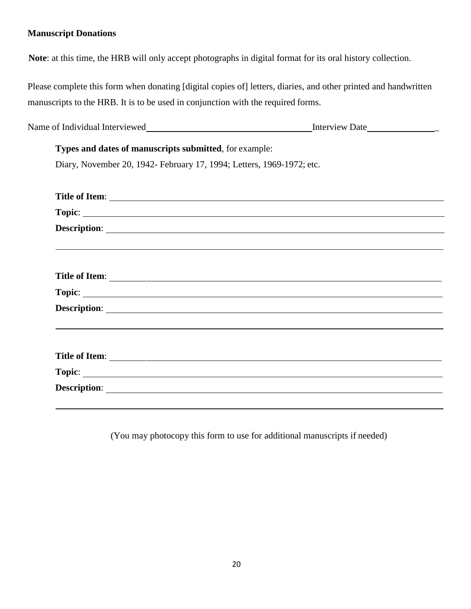#### **Manuscript Donations**

**Note**: at this time, the HRB will only accept photographs in digital format for its oral history collection.

Please complete this form when donating [digital copies of] letters, diaries, and other printed and handwritten manuscripts to the HRB. It is to be used in conjunction with the required forms.

| Name of Individual Interviewed                                        | <b>Interview Date</b> |
|-----------------------------------------------------------------------|-----------------------|
| <b>Types and dates of manuscripts submitted, for example:</b>         |                       |
| Diary, November 20, 1942- February 17, 1994; Letters, 1969-1972; etc. |                       |
| <b>Title of Item:</b>                                                 |                       |

| Topic:         |  |  |
|----------------|--|--|
|                |  |  |
|                |  |  |
|                |  |  |
|                |  |  |
| Topic:         |  |  |
| Description:   |  |  |
|                |  |  |
|                |  |  |
| Title of Item: |  |  |
|                |  |  |
| Description:   |  |  |
|                |  |  |

(You may photocopy this form to use for additional manuscripts if needed)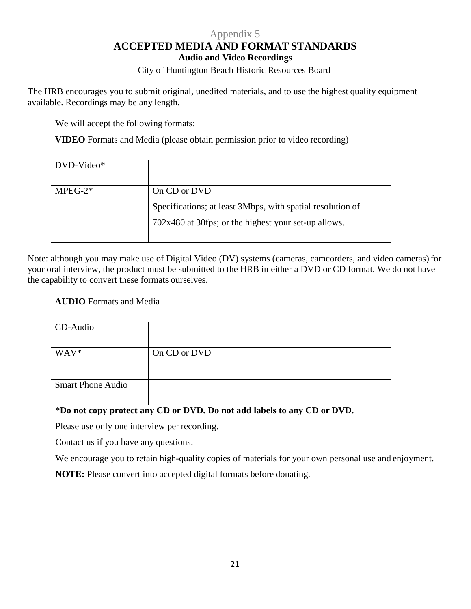#### Appendix 5 **ACCEPTED MEDIA AND FORMAT STANDARDS Audio and Video Recordings**

#### City of Huntington Beach Historic Resources Board

<span id="page-20-0"></span>The HRB encourages you to submit original, unedited materials, and to use the highest quality equipment available. Recordings may be any length.

We will accept the following formats:

|              | VIDEO Formats and Media (please obtain permission prior to video recording)                                                        |
|--------------|------------------------------------------------------------------------------------------------------------------------------------|
| $DVD-Video*$ |                                                                                                                                    |
| $MPEG-2*$    | On CD or DVD<br>Specifications; at least 3Mbps, with spatial resolution of<br>702x480 at 30fps; or the highest your set-up allows. |

Note: although you may make use of Digital Video (DV) systems (cameras, camcorders, and video cameras) for your oral interview, the product must be submitted to the HRB in either a DVD or CD format. We do not have the capability to convert these formats ourselves.

| <b>AUDIO</b> Formats and Media |              |
|--------------------------------|--------------|
| CD-Audio                       |              |
| WAV*                           | On CD or DVD |
| <b>Smart Phone Audio</b>       |              |

#### \***Do not copy protect any CD or DVD. Do not add labels to any CD or DVD.**

Please use only one interview per recording.

Contact us if you have any questions.

We encourage you to retain high-quality copies of materials for your own personal use and enjoyment.

**NOTE:** Please convert into accepted digital formats before donating.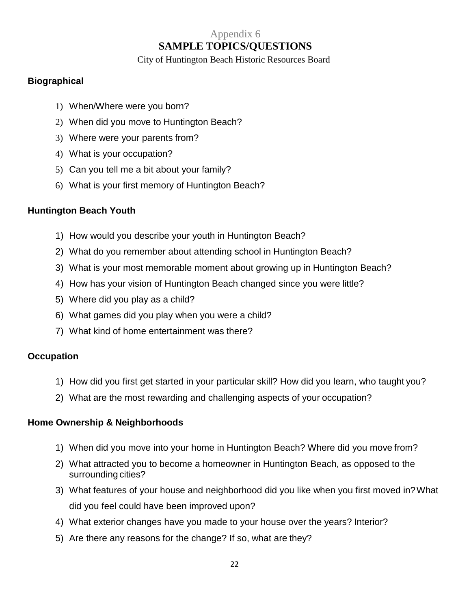#### Appendix 6 **SAMPLE TOPICS/QUESTIONS**

#### City of Huntington Beach Historic Resources Board

#### <span id="page-21-0"></span>**Biographical**

- 1) When/Where were you born?
- 2) When did you move to Huntington Beach?
- 3) Where were your parents from?
- 4) What is your occupation?
- 5) Can you tell me a bit about your family?
- 6) What is your first memory of Huntington Beach?

#### **Huntington Beach Youth**

- 1) How would you describe your youth in Huntington Beach?
- 2) What do you remember about attending school in Huntington Beach?
- 3) What is your most memorable moment about growing up in Huntington Beach?
- 4) How has your vision of Huntington Beach changed since you were little?
- 5) Where did you play as a child?
- 6) What games did you play when you were a child?
- 7) What kind of home entertainment was there?

#### **Occupation**

- 1) How did you first get started in your particular skill? How did you learn, who taught you?
- 2) What are the most rewarding and challenging aspects of your occupation?

#### **Home Ownership & Neighborhoods**

- 1) When did you move into your home in Huntington Beach? Where did you move from?
- 2) What attracted you to become a homeowner in Huntington Beach, as opposed to the surrounding cities?
- 3) What features of your house and neighborhood did you like when you first moved in?What did you feel could have been improved upon?
- 4) What exterior changes have you made to your house over the years? Interior?
- 5) Are there any reasons for the change? If so, what are they?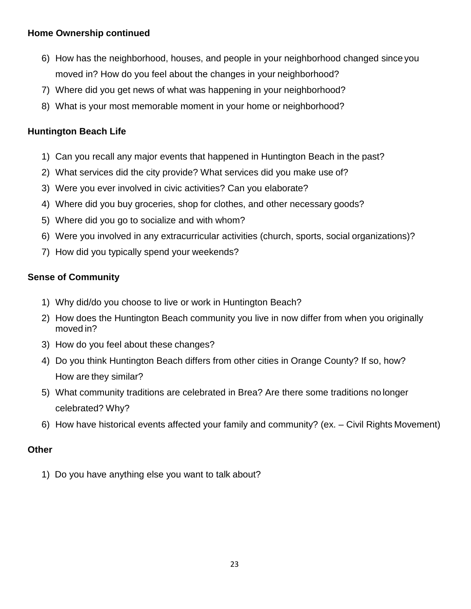#### **Home Ownership continued**

- 6) How has the neighborhood, houses, and people in your neighborhood changed since you moved in? How do you feel about the changes in your neighborhood?
- 7) Where did you get news of what was happening in your neighborhood?
- 8) What is your most memorable moment in your home or neighborhood?

#### **Huntington Beach Life**

- 1) Can you recall any major events that happened in Huntington Beach in the past?
- 2) What services did the city provide? What services did you make use of?
- 3) Were you ever involved in civic activities? Can you elaborate?
- 4) Where did you buy groceries, shop for clothes, and other necessary goods?
- 5) Where did you go to socialize and with whom?
- 6) Were you involved in any extracurricular activities (church, sports, social organizations)?
- 7) How did you typically spend your weekends?

#### **Sense of Community**

- 1) Why did/do you choose to live or work in Huntington Beach?
- 2) How does the Huntington Beach community you live in now differ from when you originally moved in?
- 3) How do you feel about these changes?
- 4) Do you think Huntington Beach differs from other cities in Orange County? If so, how? How are they similar?
- 5) What community traditions are celebrated in Brea? Are there some traditions no longer celebrated? Why?
- 6) How have historical events affected your family and community? (ex. Civil Rights Movement)

#### **Other**

<span id="page-22-0"></span>1) Do you have anything else you want to talk about?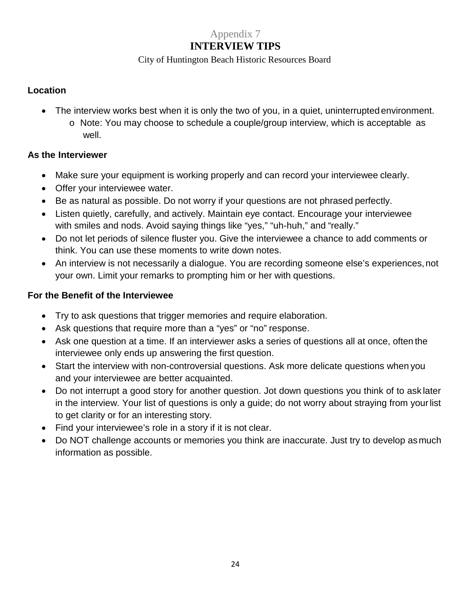#### Appendix 7 **INTERVIEW TIPS**

#### City of Huntington Beach Historic Resources Board

#### **Location**

- The interview works best when it is only the two of you, in a quiet, uninterrupted environment.
	- o Note: You may choose to schedule a couple/group interview, which is acceptable as well.

#### **As the Interviewer**

- Make sure your equipment is working properly and can record your interviewee clearly.
- Offer your interviewee water.
- Be as natural as possible. Do not worry if your questions are not phrased perfectly.
- Listen quietly, carefully, and actively. Maintain eye contact. Encourage your interviewee with smiles and nods. Avoid saying things like "yes," "uh-huh," and "really."
- Do not let periods of silence fluster you. Give the interviewee a chance to add comments or think. You can use these moments to write down notes.
- An interview is not necessarily a dialogue. You are recording someone else's experiences, not your own. Limit your remarks to prompting him or her with questions.

#### **For the Benefit of the Interviewee**

- Try to ask questions that trigger memories and require elaboration.
- Ask questions that require more than a "yes" or "no" response.
- Ask one question at a time. If an interviewer asks a series of questions all at once, often the interviewee only ends up answering the first question.
- Start the interview with non-controversial questions. Ask more delicate questions when you and your interviewee are better acquainted.
- Do not interrupt a good story for another question. Jot down questions you think of to ask later in the interview. Your list of questions is only a guide; do not worry about straying from yourlist to get clarity or for an interesting story.
- Find your interviewee's role in a story if it is not clear.
- Do NOT challenge accounts or memories you think are inaccurate. Just try to develop asmuch information as possible.